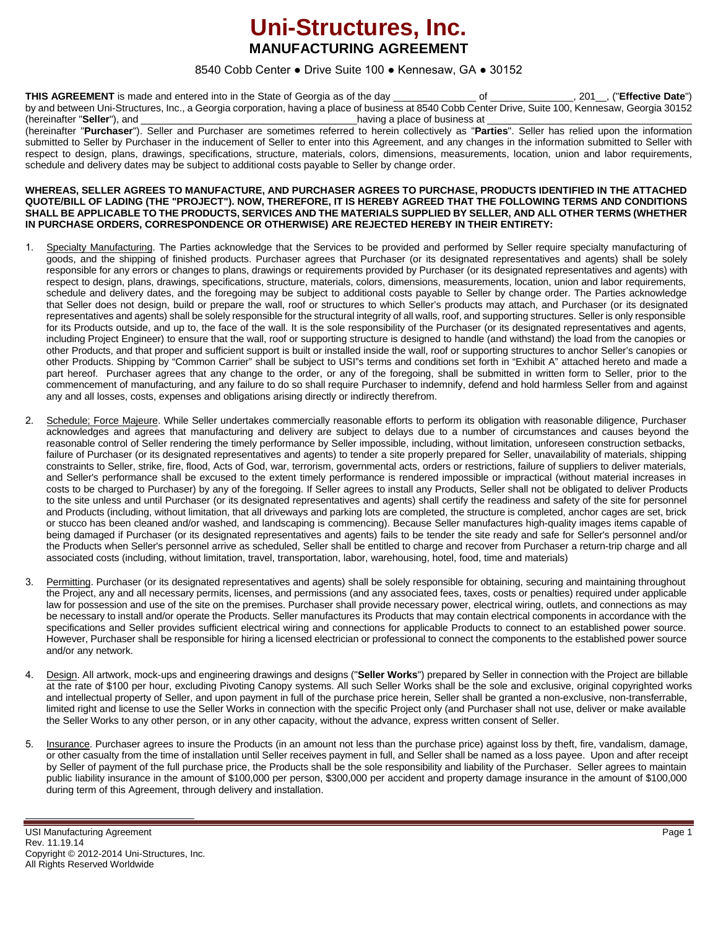## **Uni-Structures, Inc. MANUFACTURING AGREEMENT**

#### 8540 Cobb Center ● Drive Suite 100 ● Kennesaw, GA ● 30152

**THIS AGREEMENT** is made and entered into in the State of Georgia as of the day \_\_\_\_\_\_\_\_\_\_\_\_\_\_\_ of \_\_\_\_\_\_\_\_\_\_\_\_\_\_\_, 201\_\_, ("**Effective Date**") by and between Uni-Structures, Inc., a Georgia corporation, having a place of business at 8540 Cobb Center Drive, Suite 100, Kennesaw, Georgia 30152 (hereinafter "**Seller**"), and \_\_\_\_\_\_\_\_\_\_\_\_\_\_\_\_\_\_\_\_\_\_\_\_\_\_\_\_\_\_\_\_\_\_\_\_\_\_\_having a place of business at \_\_\_\_\_\_\_\_\_\_\_\_\_\_\_\_\_\_\_\_\_\_\_\_\_\_\_\_\_\_\_\_\_\_\_\_\_

(hereinafter "**Purchaser**"). Seller and Purchaser are sometimes referred to herein collectively as "**Parties**". Seller has relied upon the information submitted to Seller by Purchaser in the inducement of Seller to enter into this Agreement, and any changes in the information submitted to Seller with respect to design, plans, drawings, specifications, structure, materials, colors, dimensions, measurements, location, union and labor requirements, schedule and delivery dates may be subject to additional costs payable to Seller by change order.

#### **WHEREAS, SELLER AGREES TO MANUFACTURE, AND PURCHASER AGREES TO PURCHASE, PRODUCTS IDENTIFIED IN THE ATTACHED QUOTE/BILL OF LADING (THE "PROJECT"). NOW, THEREFORE, IT IS HEREBY AGREED THAT THE FOLLOWING TERMS AND CONDITIONS SHALL BE APPLICABLE TO THE PRODUCTS, SERVICES AND THE MATERIALS SUPPLIED BY SELLER, AND ALL OTHER TERMS (WHETHER IN PURCHASE ORDERS, CORRESPONDENCE OR OTHERWISE) ARE REJECTED HEREBY IN THEIR ENTIRETY:**

- 1. Specialty Manufacturing. The Parties acknowledge that the Services to be provided and performed by Seller require specialty manufacturing of goods, and the shipping of finished products. Purchaser agrees that Purchaser (or its designated representatives and agents) shall be solely responsible for any errors or changes to plans, drawings or requirements provided by Purchaser (or its designated representatives and agents) with respect to design, plans, drawings, specifications, structure, materials, colors, dimensions, measurements, location, union and labor requirements, schedule and delivery dates, and the foregoing may be subject to additional costs payable to Seller by change order. The Parties acknowledge that Seller does not design, build or prepare the wall, roof or structures to which Seller's products may attach, and Purchaser (or its designated representatives and agents) shall be solely responsible for the structural integrity of all walls, roof, and supporting structures. Seller is only responsible for its Products outside, and up to, the face of the wall. It is the sole responsibility of the Purchaser (or its designated representatives and agents, including Project Engineer) to ensure that the wall, roof or supporting structure is designed to handle (and withstand) the load from the canopies or other Products, and that proper and sufficient support is built or installed inside the wall, roof or supporting structures to anchor Seller's canopies or other Products. Shipping by "Common Carrier" shall be subject to USI"s terms and conditions set forth in "Exhibit A" attached hereto and made a part hereof. Purchaser agrees that any change to the order, or any of the foregoing, shall be submitted in written form to Seller, prior to the commencement of manufacturing, and any failure to do so shall require Purchaser to indemnify, defend and hold harmless Seller from and against any and all losses, costs, expenses and obligations arising directly or indirectly therefrom.
- 2. Schedule; Force Majeure. While Seller undertakes commercially reasonable efforts to perform its obligation with reasonable diligence, Purchaser acknowledges and agrees that manufacturing and delivery are subject to delays due to a number of circumstances and causes beyond the reasonable control of Seller rendering the timely performance by Seller impossible, including, without limitation, unforeseen construction setbacks, failure of Purchaser (or its designated representatives and agents) to tender a site properly prepared for Seller, unavailability of materials, shipping constraints to Seller, strike, fire, flood, Acts of God, war, terrorism, governmental acts, orders or restrictions, failure of suppliers to deliver materials, and Seller's performance shall be excused to the extent timely performance is rendered impossible or impractical (without material increases in costs to be charged to Purchaser) by any of the foregoing. If Seller agrees to install any Products, Seller shall not be obligated to deliver Products to the site unless and until Purchaser (or its designated representatives and agents) shall certify the readiness and safety of the site for personnel and Products (including, without limitation, that all driveways and parking lots are completed, the structure is completed, anchor cages are set, brick or stucco has been cleaned and/or washed, and landscaping is commencing). Because Seller manufactures high-quality images items capable of being damaged if Purchaser (or its designated representatives and agents) fails to be tender the site ready and safe for Seller's personnel and/or the Products when Seller's personnel arrive as scheduled, Seller shall be entitled to charge and recover from Purchaser a return-trip charge and all associated costs (including, without limitation, travel, transportation, labor, warehousing, hotel, food, time and materials)
- Permitting. Purchaser (or its designated representatives and agents) shall be solely responsible for obtaining, securing and maintaining throughout the Project, any and all necessary permits, licenses, and permissions (and any associated fees, taxes, costs or penalties) required under applicable law for possession and use of the site on the premises. Purchaser shall provide necessary power, electrical wiring, outlets, and connections as may be necessary to install and/or operate the Products. Seller manufactures its Products that may contain electrical components in accordance with the specifications and Seller provides sufficient electrical wiring and connections for applicable Products to connect to an established power source. However, Purchaser shall be responsible for hiring a licensed electrician or professional to connect the components to the established power source and/or any network.
- 4. Design. All artwork, mock-ups and engineering drawings and designs ("**Seller Works**") prepared by Seller in connection with the Project are billable at the rate of \$100 per hour, excluding Pivoting Canopy systems. All such Seller Works shall be the sole and exclusive, original copyrighted works and intellectual property of Seller, and upon payment in full of the purchase price herein, Seller shall be granted a non-exclusive, non-transferrable, limited right and license to use the Seller Works in connection with the specific Project only (and Purchaser shall not use, deliver or make available the Seller Works to any other person, or in any other capacity, without the advance, express written consent of Seller.
- 5. Insurance. Purchaser agrees to insure the Products (in an amount not less than the purchase price) against loss by theft, fire, vandalism, damage, or other casualty from the time of installation until Seller receives payment in full, and Seller shall be named as a loss payee. Upon and after receipt by Seller of payment of the full purchase price, the Products shall be the sole responsibility and liability of the Purchaser. Seller agrees to maintain public liability insurance in the amount of \$100,000 per person, \$300,000 per accident and property damage insurance in the amount of \$100,000 during term of this Agreement, through delivery and installation.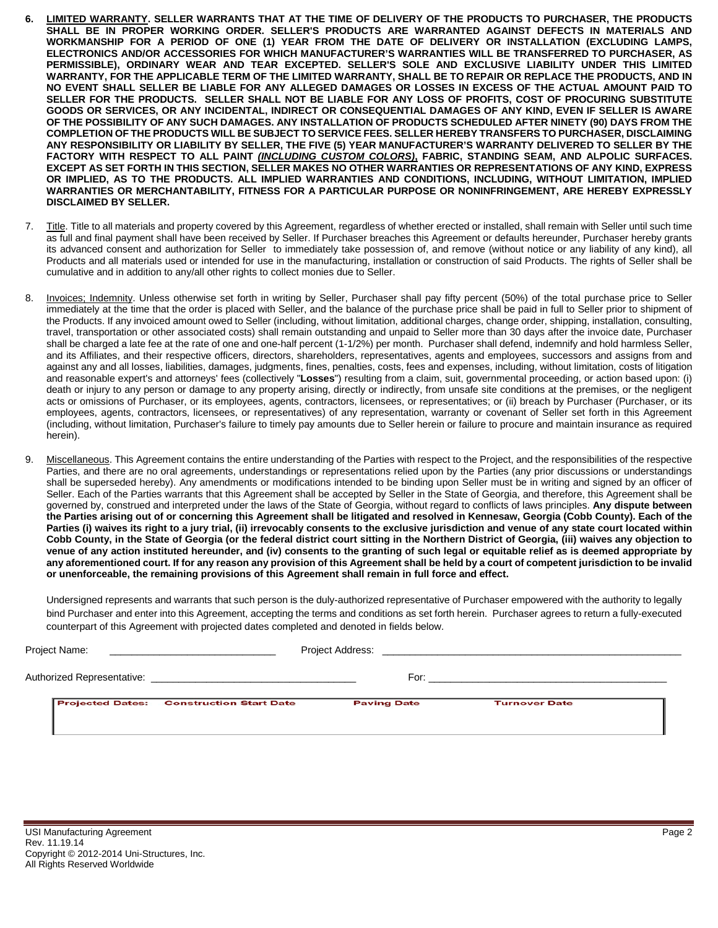- **6. LIMITED WARRANTY. SELLER WARRANTS THAT AT THE TIME OF DELIVERY OF THE PRODUCTS TO PURCHASER, THE PRODUCTS SHALL BE IN PROPER WORKING ORDER. SELLER'S PRODUCTS ARE WARRANTED AGAINST DEFECTS IN MATERIALS AND WORKMANSHIP FOR A PERIOD OF ONE (1) YEAR FROM THE DATE OF DELIVERY OR INSTALLATION (EXCLUDING LAMPS, ELECTRONICS AND/OR ACCESSORIES FOR WHICH MANUFACTURER'S WARRANTIES WILL BE TRANSFERRED TO PURCHASER, AS PERMISSIBLE), ORDINARY WEAR AND TEAR EXCEPTED. SELLER'S SOLE AND EXCLUSIVE LIABILITY UNDER THIS LIMITED WARRANTY, FOR THE APPLICABLE TERM OF THE LIMITED WARRANTY, SHALL BE TO REPAIR OR REPLACE THE PRODUCTS, AND IN NO EVENT SHALL SELLER BE LIABLE FOR ANY ALLEGED DAMAGES OR LOSSES IN EXCESS OF THE ACTUAL AMOUNT PAID TO SELLER FOR THE PRODUCTS. SELLER SHALL NOT BE LIABLE FOR ANY LOSS OF PROFITS, COST OF PROCURING SUBSTITUTE GOODS OR SERVICES, OR ANY INCIDENTAL, INDIRECT OR CONSEQUENTIAL DAMAGES OF ANY KIND, EVEN IF SELLER IS AWARE OF THE POSSIBILITY OF ANY SUCH DAMAGES. ANY INSTALLATION OF PRODUCTS SCHEDULED AFTER NINETY (90) DAYS FROM THE COMPLETION OF THE PRODUCTS WILL BE SUBJECT TO SERVICE FEES. SELLER HEREBY TRANSFERS TO PURCHASER, DISCLAIMING ANY RESPONSIBILITY OR LIABILITY BY SELLER, THE FIVE (5) YEAR MANUFACTURER'S WARRANTY DELIVERED TO SELLER BY THE FACTORY WITH RESPECT TO ALL PAINT** *(INCLUDING CUSTOM COLORS)***, FABRIC, STANDING SEAM, AND ALPOLIC SURFACES. EXCEPT AS SET FORTH IN THIS SECTION, SELLER MAKES NO OTHER WARRANTIES OR REPRESENTATIONS OF ANY KIND, EXPRESS OR IMPLIED, AS TO THE PRODUCTS. ALL IMPLIED WARRANTIES AND CONDITIONS, INCLUDING, WITHOUT LIMITATION, IMPLIED WARRANTIES OR MERCHANTABILITY, FITNESS FOR A PARTICULAR PURPOSE OR NONINFRINGEMENT, ARE HEREBY EXPRESSLY DISCLAIMED BY SELLER.**
- 7. Title. Title to all materials and property covered by this Agreement, regardless of whether erected or installed, shall remain with Seller until such time as full and final payment shall have been received by Seller. If Purchaser breaches this Agreement or defaults hereunder, Purchaser hereby grants its advanced consent and authorization for Seller to immediately take possession of, and remove (without notice or any liability of any kind), all Products and all materials used or intended for use in the manufacturing, installation or construction of said Products. The rights of Seller shall be cumulative and in addition to any/all other rights to collect monies due to Seller.
- 8. Invoices; Indemnity. Unless otherwise set forth in writing by Seller, Purchaser shall pay fifty percent (50%) of the total purchase price to Seller immediately at the time that the order is placed with Seller, and the balance of the purchase price shall be paid in full to Seller prior to shipment of the Products. If any invoiced amount owed to Seller (including, without limitation, additional charges, change order, shipping, installation, consulting, travel, transportation or other associated costs) shall remain outstanding and unpaid to Seller more than 30 days after the invoice date, Purchaser shall be charged a late fee at the rate of one and one-half percent (1-1/2%) per month. Purchaser shall defend, indemnify and hold harmless Seller, and its Affiliates, and their respective officers, directors, shareholders, representatives, agents and employees, successors and assigns from and against any and all losses, liabilities, damages, judgments, fines, penalties, costs, fees and expenses, including, without limitation, costs of litigation and reasonable expert's and attorneys' fees (collectively "**Losses**") resulting from a claim, suit, governmental proceeding, or action based upon: (i) death or injury to any person or damage to any property arising, directly or indirectly, from unsafe site conditions at the premises, or the negligent acts or omissions of Purchaser, or its employees, agents, contractors, licensees, or representatives; or (ii) breach by Purchaser (Purchaser, or its employees, agents, contractors, licensees, or representatives) of any representation, warranty or covenant of Seller set forth in this Agreement (including, without limitation, Purchaser's failure to timely pay amounts due to Seller herein or failure to procure and maintain insurance as required herein).
- 9. Miscellaneous. This Agreement contains the entire understanding of the Parties with respect to the Project, and the responsibilities of the respective Parties, and there are no oral agreements, understandings or representations relied upon by the Parties (any prior discussions or understandings shall be superseded hereby). Any amendments or modifications intended to be binding upon Seller must be in writing and signed by an officer of Seller. Each of the Parties warrants that this Agreement shall be accepted by Seller in the State of Georgia, and therefore, this Agreement shall be governed by, construed and interpreted under the laws of the State of Georgia, without regard to conflicts of laws principles. **Any dispute between the Parties arising out of or concerning this Agreement shall be litigated and resolved in Kennesaw, Georgia (Cobb County). Each of the Parties (i) waives its right to a jury trial, (ii) irrevocably consents to the exclusive jurisdiction and venue of any state court located within Cobb County, in the State of Georgia (or the federal district court sitting in the Northern District of Georgia, (iii) waives any objection to venue of any action instituted hereunder, and (iv) consents to the granting of such legal or equitable relief as is deemed appropriate by any aforementioned court. If for any reason any provision of this Agreement shall be held by a court of competent jurisdiction to be invalid or unenforceable, the remaining provisions of this Agreement shall remain in full force and effect.**

Undersigned represents and warrants that such person is the duly-authorized representative of Purchaser empowered with the authority to legally bind Purchaser and enter into this Agreement, accepting the terms and conditions as set forth herein. Purchaser agrees to return a fully-executed counterpart of this Agreement with projected dates completed and denoted in fields below.

| Project Name:<br><u> 1980 - Jan Barnett, mars et al. (b. 1980)</u> |                            | Project Address:                                                                          |                    |                      |  |
|--------------------------------------------------------------------|----------------------------|-------------------------------------------------------------------------------------------|--------------------|----------------------|--|
|                                                                    | Authorized Representative: | the control of the control of the control of the control of the control of the control of | For:               |                      |  |
|                                                                    |                            | <b>Projected Dates: Construction Start Date</b>                                           | <b>Paving Date</b> | <b>Turnover Date</b> |  |